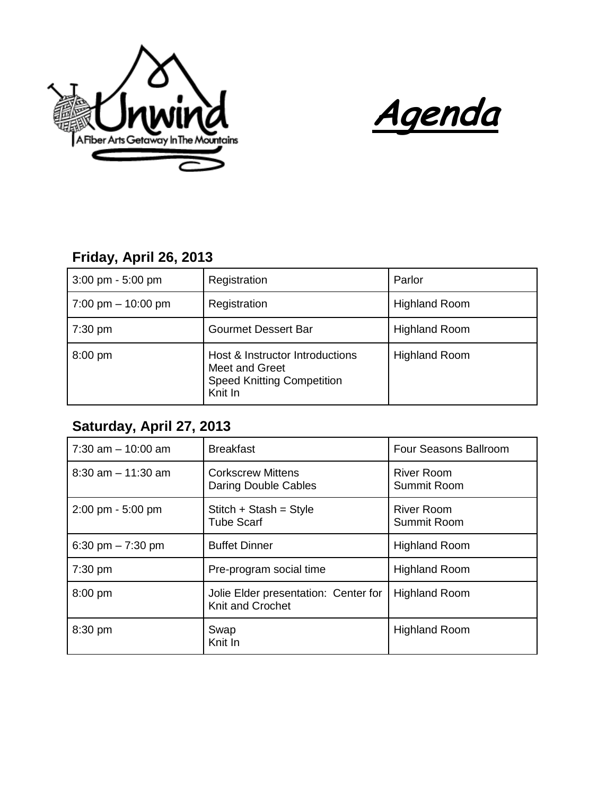



## **Friday, April 26, 2013**

| $3:00 \text{ pm} - 5:00 \text{ pm}$  | Registration                                                                                      | Parlor               |
|--------------------------------------|---------------------------------------------------------------------------------------------------|----------------------|
| $7:00 \text{ pm} - 10:00 \text{ pm}$ | Registration                                                                                      | <b>Highland Room</b> |
| $7:30 \text{ pm}$                    | <b>Gourmet Dessert Bar</b>                                                                        | <b>Highland Room</b> |
| $8:00 \text{ pm}$                    | Host & Instructor Introductions<br>Meet and Greet<br><b>Speed Knitting Competition</b><br>Knit In | <b>Highland Room</b> |

## **Saturday, April 27, 2013**

| $7:30$ am $-10:00$ am               | <b>Breakfast</b>                                         | Four Seasons Ballroom            |
|-------------------------------------|----------------------------------------------------------|----------------------------------|
| $8:30$ am $-11:30$ am               | <b>Corkscrew Mittens</b><br>Daring Double Cables         | <b>River Room</b><br>Summit Room |
| $2:00 \text{ pm} - 5:00 \text{ pm}$ | Stitch + Stash = Style<br><b>Tube Scarf</b>              | <b>River Room</b><br>Summit Room |
| 6:30 pm $-7:30$ pm                  | <b>Buffet Dinner</b>                                     | <b>Highland Room</b>             |
| $7:30$ pm                           | Pre-program social time                                  | <b>Highland Room</b>             |
| 8:00 pm                             | Jolie Elder presentation: Center for<br>Knit and Crochet | <b>Highland Room</b>             |
| 8:30 pm                             | Swap<br>Knit In                                          | <b>Highland Room</b>             |